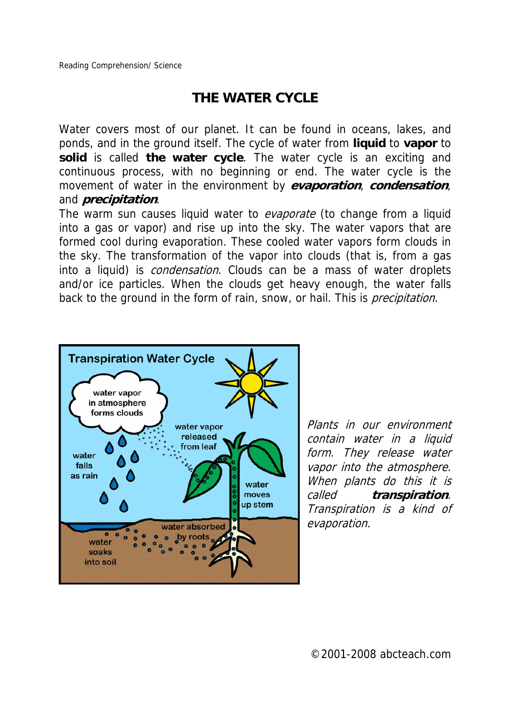## **THE WATER CYCLE**

Water covers most of our planet. It can be found in oceans, lakes, and ponds, and in the ground itself. The cycle of water from **liquid** to **vapor** to **solid** is called **the water cycle**. The water cycle is an exciting and continuous process, with no beginning or end. The water cycle is the movement of water in the environment by **evaporation**, **condensation**, and **precipitation**.

The warm sun causes liquid water to *evaporate* (to change from a liquid into a gas or vapor) and rise up into the sky. The water vapors that are formed cool during evaporation. These cooled water vapors form clouds in the sky. The transformation of the vapor into clouds (that is, from a gas into a liquid) is *condensation*. Clouds can be a mass of water droplets and/or ice particles. When the clouds get heavy enough, the water falls back to the ground in the form of rain, snow, or hail. This is *precipitation*.



Plants in our environment contain water in a liquid form. They release water vapor into the atmosphere. When plants do this it is called **transpiration**. Transpiration is a kind of evaporation.

©2001-2008 abcteach.com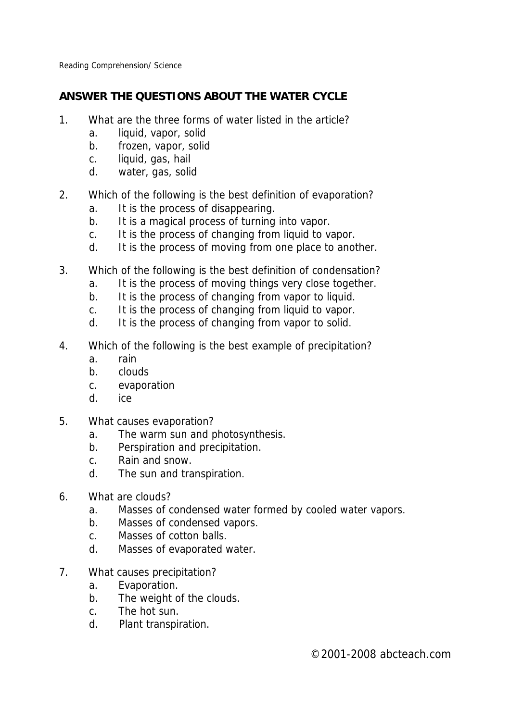Reading Comprehension/ Science

## **ANSWER THE QUESTIONS ABOUT THE WATER CYCLE**

- 1. What are the three forms of water listed in the article?
	- a. liquid, vapor, solid
	- b. frozen, vapor, solid
	- c. liquid, gas, hail
	- d. water, gas, solid
- 2. Which of the following is the best definition of evaporation?
	- a. It is the process of disappearing.
	- b. It is a magical process of turning into vapor.
	- c. It is the process of changing from liquid to vapor.
	- d. It is the process of moving from one place to another.
- 3. Which of the following is the best definition of condensation?
	- a. It is the process of moving things very close together.
	- b. It is the process of changing from vapor to liquid.
	- c. It is the process of changing from liquid to vapor.
	- d. It is the process of changing from vapor to solid.
- 4. Which of the following is the best example of precipitation?
	- a. rain
	- b. clouds
	- c. evaporation
	- d. ice
- 5. What causes evaporation?
	- a. The warm sun and photosynthesis.
	- b. Perspiration and precipitation.
	- c. Rain and snow.
	- d. The sun and transpiration.
- 6. What are clouds?
	- a. Masses of condensed water formed by cooled water vapors.
	- b. Masses of condensed vapors.
	- c. Masses of cotton balls.
	- d. Masses of evaporated water.
- 7. What causes precipitation?
	- a. Evaporation.
	- b. The weight of the clouds.
	- c. The hot sun.
	- d. Plant transpiration.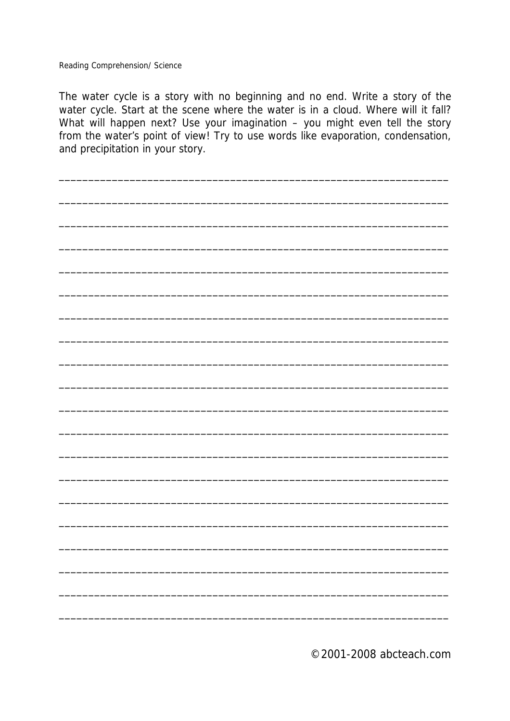Reading Comprehension/ Science

The water cycle is a story with no beginning and no end. Write a story of the water cycle. Start at the scene where the water is in a cloud. Where will it fall? What will happen next? Use your imagination - you might even tell the story from the water's point of view! Try to use words like evaporation, condensation, and precipitation in your story.

©2001-2008 abcteach.com